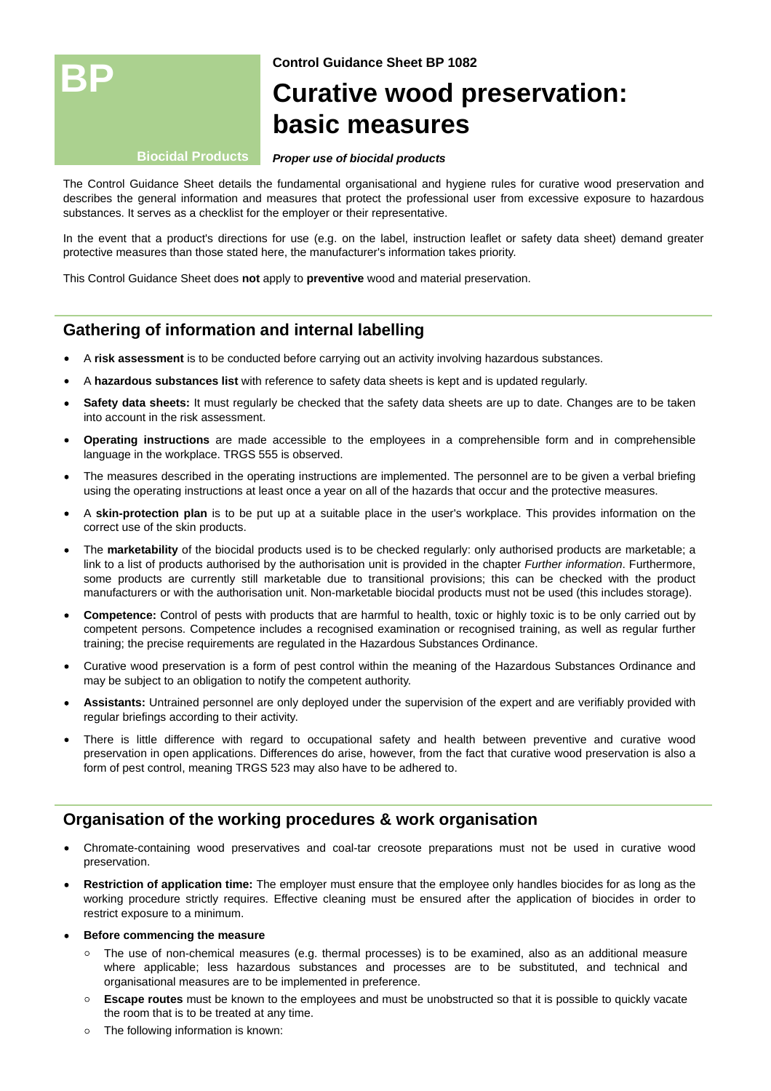

**Control Guidance Sheet BP 1082**

# **Curative wood preservation: basic measures**

#### **Biocidal Products**

#### **Proper use of biocidal products**

The Control Guidance Sheet details the fundamental organisational and hygiene rules for curative wood preservation and describes the general information and measures that protect the professional user from excessive exposure to hazardous substances. It serves as a checklist for the employer or their representative.

In the event that a product's directions for use (e.g. on the label, instruction leaflet or safety data sheet) demand greater protective measures than those stated here, the manufacturer's information takes priority.

This Control Guidance Sheet does **not** apply to **preventive** wood and material preservation.

## **Gathering of information and internal labelling**

- A **risk assessment** is to be conducted before carrying out an activity involving hazardous substances.
- A **hazardous substances list** with reference to safety data sheets is kept and is updated regularly.
- **Safety data sheets:** It must regularly be checked that the safety data sheets are up to date. Changes are to be taken into account in the risk assessment.
- **Operating instructions** are made accessible to the employees in a comprehensible form and in comprehensible language in the workplace. TRGS 555 is observed.
- The measures described in the operating instructions are implemented. The personnel are to be given a verbal briefing using the operating instructions at least once a year on all of the hazards that occur and the protective measures.
- A **skin-protection plan** is to be put up at a suitable place in the user's workplace. This provides information on the correct use of the skin products.
- The **marketability** of the biocidal products used is to be checked regularly: only authorised products are marketable; a link to a list of products authorised by the authorisation unit is provided in the chapter *Further information*. Furthermore, some products are currently still marketable due to transitional provisions; this can be checked with the product manufacturers or with the authorisation unit. Non-marketable biocidal products must not be used (this includes storage).
- **Competence:** Control of pests with products that are harmful to health, toxic or highly toxic is to be only carried out by competent persons. Competence includes a recognised examination or recognised training, as well as regular further training; the precise requirements are regulated in the Hazardous Substances Ordinance.
- Curative wood preservation is a form of pest control within the meaning of the Hazardous Substances Ordinance and may be subject to an obligation to notify the competent authority.
- **Assistants:** Untrained personnel are only deployed under the supervision of the expert and are verifiably provided with regular briefings according to their activity.
- There is little difference with regard to occupational safety and health between preventive and curative wood preservation in open applications. Differences do arise, however, from the fact that curative wood preservation is also a form of pest control, meaning TRGS 523 may also have to be adhered to.

## **Organisation of the working procedures & work organisation**

- Chromate-containing wood preservatives and coal-tar creosote preparations must not be used in curative wood preservation.
- **Restriction of application time:** The employer must ensure that the employee only handles biocides for as long as the working procedure strictly requires. Effective cleaning must be ensured after the application of biocides in order to restrict exposure to a minimum.
- **Before commencing the measure**
	- $\circ$  The use of non-chemical measures (e.g. thermal processes) is to be examined, also as an additional measure where applicable; less hazardous substances and processes are to be substituted, and technical and organisational measures are to be implemented in preference.
	- **Escape routes** must be known to the employees and must be unobstructed so that it is possible to quickly vacate the room that is to be treated at any time.
	- The following information is known: $\circ$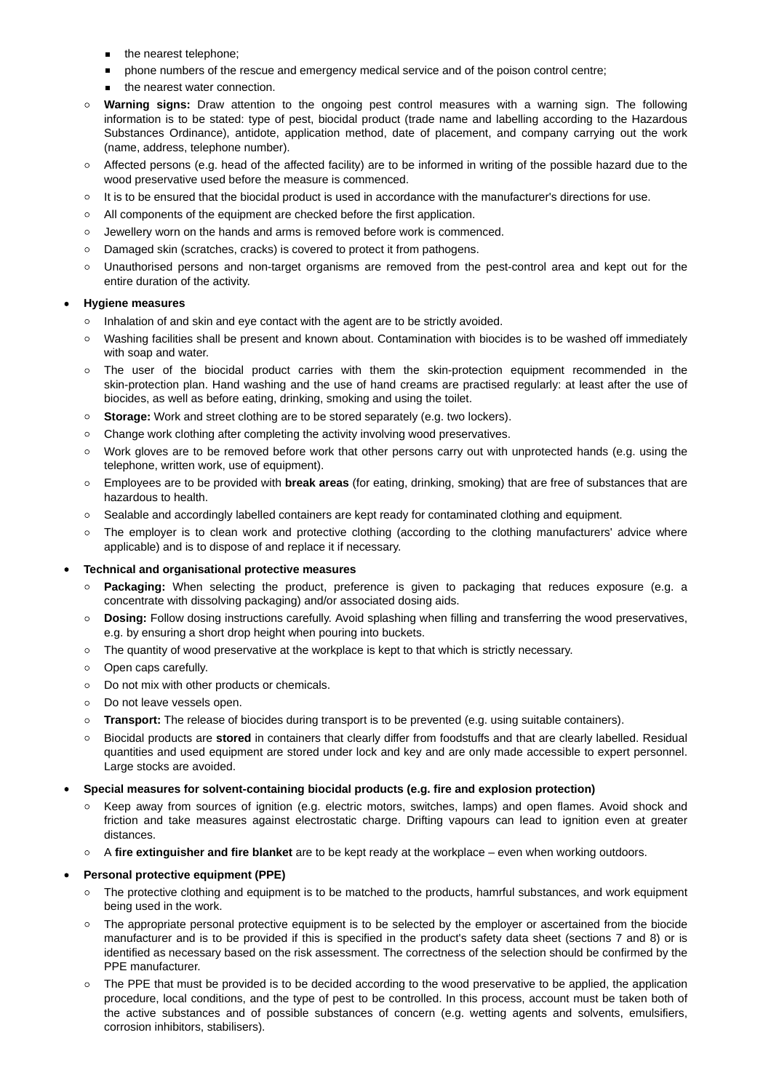- the nearest telephone;  $\blacksquare$
- phone numbers of the rescue and emergency medical service and of the poison control centre;  $\mathbf{m}$  .
- the nearest water connection.
- $\circ$ **Warning signs:** Draw attention to the ongoing pest control measures with a warning sign. The following information is to be stated: type of pest, biocidal product (trade name and labelling according to the Hazardous Substances Ordinance), antidote, application method, date of placement, and company carrying out the work (name, address, telephone number).
- $\circ$  Affected persons (e.g. head of the affected facility) are to be informed in writing of the possible hazard due to the wood preservative used before the measure is commenced.
- $\circ$  It is to be ensured that the biocidal product is used in accordance with the manufacturer's directions for use.
- All components of the equipment are checked before the first application.
- Jewellery worn on the hands and arms is removed before work is commenced.  $\circ$
- Damaged skin (scratches, cracks) is covered to protect it from pathogens.
- Unauthorised persons and non-target organisms are removed from the pest-control area and kept out for the entire duration of the activity.

## **Hygiene measures**

- o Inhalation of and skin and eye contact with the agent are to be strictly avoided.
- Washing facilities shall be present and known about. Contamination with biocides is to be washed off immediately with soap and water.
- $\circ$  The user of the biocidal product carries with them the skin-protection equipment recommended in the skin-protection plan. Hand washing and the use of hand creams are practised regularly: at least after the use of biocides, as well as before eating, drinking, smoking and using the toilet.
- **Storage:** Work and street clothing are to be stored separately (e.g. two lockers).
- Change work clothing after completing the activity involving wood preservatives.
- Work gloves are to be removed before work that other persons carry out with unprotected hands (e.g. using the telephone, written work, use of equipment).
- $\circ$ Employees are to be provided with **break areas** (for eating, drinking, smoking) that are free of substances that are hazardous to health.
- Sealable and accordingly labelled containers are kept ready for contaminated clothing and equipment.
- The employer is to clean work and protective clothing (according to the clothing manufacturers' advice where applicable) and is to dispose of and replace it if necessary.

## **Technical and organisational protective measures**

- **Packaging:** When selecting the product, preference is given to packaging that reduces exposure (e.g. a concentrate with dissolving packaging) and/or associated dosing aids.
- **Dosing:** Follow dosing instructions carefully. Avoid splashing when filling and transferring the wood preservatives, e.g. by ensuring a short drop height when pouring into buckets.
- The quantity of wood preservative at the workplace is kept to that which is strictly necessary.
- o Open caps carefully.
- Do not mix with other products or chemicals.
- Do not leave vessels open.
- **Transport:** The release of biocides during transport is to be prevented (e.g. using suitable containers).
- Biocidal products are **stored** in containers that clearly differ from foodstuffs and that are clearly labelled. Residual quantities and used equipment are stored under lock and key and are only made accessible to expert personnel. Large stocks are avoided.
- **Special measures for solvent-containing biocidal products (e.g. fire and explosion protection)**
	- Keep away from sources of ignition (e.g. electric motors, switches, lamps) and open flames. Avoid shock and friction and take measures against electrostatic charge. Drifting vapours can lead to ignition even at greater distances.
	- A **fire extinguisher and fire blanket** are to be kept ready at the workplace even when working outdoors.

## **Personal protective equipment (PPE)**

- o The protective clothing and equipment is to be matched to the products, hamrful substances, and work equipment being used in the work.
- $\circ$  The appropriate personal protective equipment is to be selected by the employer or ascertained from the biocide manufacturer and is to be provided if this is specified in the product's safety data sheet (sections 7 and 8) or is identified as necessary based on the risk assessment. The correctness of the selection should be confirmed by the PPE manufacturer.
- The PPE that must be provided is to be decided according to the wood preservative to be applied, the application procedure, local conditions, and the type of pest to be controlled. In this process, account must be taken both of the active substances and of possible substances of concern (e.g. wetting agents and solvents, emulsifiers, corrosion inhibitors, stabilisers).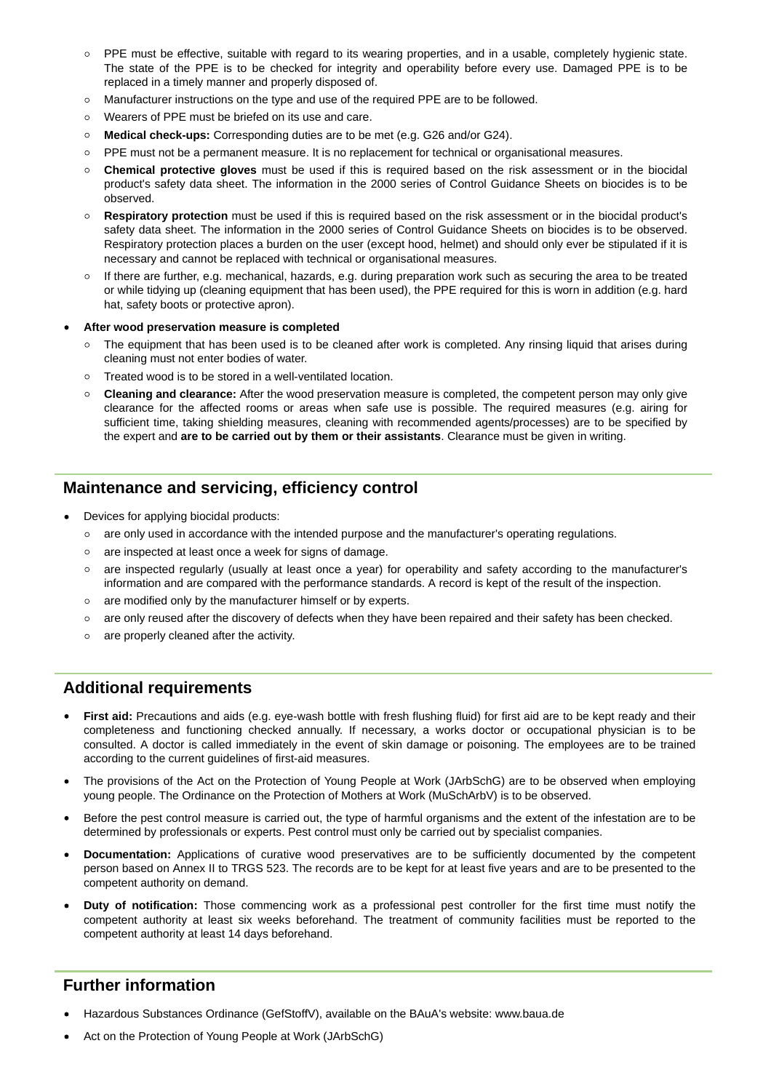- PPE must be effective, suitable with regard to its wearing properties, and in a usable, completely hygienic state. The state of the PPE is to be checked for integrity and operability before every use. Damaged PPE is to be replaced in a timely manner and properly disposed of.
- Manufacturer instructions on the type and use of the required PPE are to be followed.
- Wearers of PPE must be briefed on its use and care.
- **Medical check-ups:** Corresponding duties are to be met (e.g. G26 and/or G24).
- PPE must not be a permanent measure. It is no replacement for technical or organisational measures.
- **Chemical protective gloves** must be used if this is required based on the risk assessment or in the biocidal product's safety data sheet. The information in the 2000 series of Control Guidance Sheets on biocides is to be observed.
- **Respiratory protection** must be used if this is required based on the risk assessment or in the biocidal product's safety data sheet. The information in the 2000 series of Control Guidance Sheets on biocides is to be observed. Respiratory protection places a burden on the user (except hood, helmet) and should only ever be stipulated if it is necessary and cannot be replaced with technical or organisational measures.
- If there are further, e.g. mechanical, hazards, e.g. during preparation work such as securing the area to be treated or while tidying up (cleaning equipment that has been used), the PPE required for this is worn in addition (e.g. hard hat, safety boots or protective apron).
- **After wood preservation measure is completed**
	- o The equipment that has been used is to be cleaned after work is completed. Any rinsing liquid that arises during cleaning must not enter bodies of water.
	- Treated wood is to be stored in a well-ventilated location.
	- **Cleaning and clearance:** After the wood preservation measure is completed, the competent person may only give clearance for the affected rooms or areas when safe use is possible. The required measures (e.g. airing for sufficient time, taking shielding measures, cleaning with recommended agents/processes) are to be specified by the expert and **are to be carried out by them or their assistants**. Clearance must be given in writing.

## **Maintenance and servicing, efficiency control**

- Devices for applying biocidal products:
	- are only used in accordance with the intended purpose and the manufacturer's operating regulations.
	- are inspected at least once a week for signs of damage.
	- are inspected regularly (usually at least once a year) for operability and safety according to the manufacturer's information and are compared with the performance standards. A record is kept of the result of the inspection.
	- are modified only by the manufacturer himself or by experts.
	- $\circ$  are only reused after the discovery of defects when they have been repaired and their safety has been checked.
	- o are properly cleaned after the activity.

## **Additional requirements**

- **First aid:** Precautions and aids (e.g. eye-wash bottle with fresh flushing fluid) for first aid are to be kept ready and their completeness and functioning checked annually. If necessary, a works doctor or occupational physician is to be consulted. A doctor is called immediately in the event of skin damage or poisoning. The employees are to be trained according to the current guidelines of first-aid measures.
- The provisions of the Act on the Protection of Young People at Work (JArbSchG) are to be observed when employing young people. The Ordinance on the Protection of Mothers at Work (MuSchArbV) is to be observed.
- Before the pest control measure is carried out, the type of harmful organisms and the extent of the infestation are to be determined by professionals or experts. Pest control must only be carried out by specialist companies.
- **Documentation:** Applications of curative wood preservatives are to be sufficiently documented by the competent person based on Annex II to TRGS 523. The records are to be kept for at least five years and are to be presented to the competent authority on demand.
- **Duty of notification:** Those commencing work as a professional pest controller for the first time must notify the competent authority at least six weeks beforehand. The treatment of community facilities must be reported to the competent authority at least 14 days beforehand.

## **Further information**

- Hazardous Substances Ordinance (GefStoffV), available on the BAuA's website: [www.baua.de](http://www.baua.de)
- Act on the Protection of Young People at Work (JArbSchG)